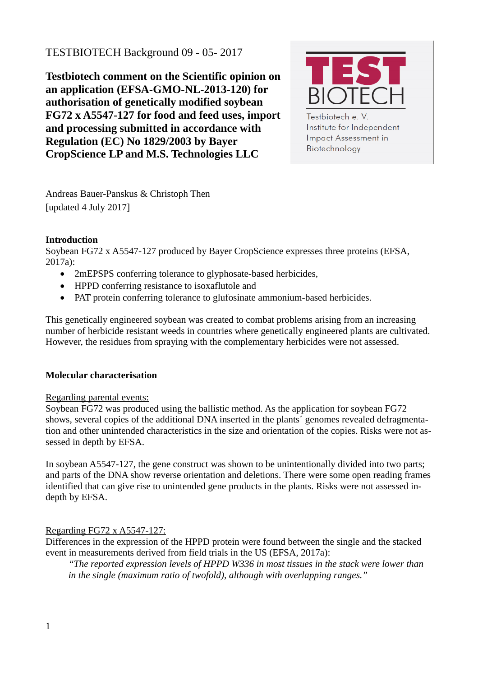# TESTBIOTECH Background 09 - 05- 2017

**Testbiotech comment on the Scientific opinion on an application (EFSA-GMO-NL-2013-120) for authorisation of genetically modified soybean FG72 x A5547-127 for food and feed uses, import and processing submitted in accordance with Regulation (EC) No 1829/2003 by Bayer CropScience LP and M.S. Technologies LLC**



Testbiotech e. V. Institute for Independent **Impact Assessment in** Biotechnology

Andreas Bauer-Panskus & Christoph Then [updated 4 July 2017]

# **Introduction**

Soybean FG72 x A5547-127 produced by Bayer CropScience expresses three proteins (EFSA, 2017a):

- 2mEPSPS conferring tolerance to glyphosate-based herbicides,
- HPPD conferring resistance to isoxaflutole and
- PAT protein conferring tolerance to glufosinate ammonium-based herbicides.

This genetically engineered soybean was created to combat problems arising from an increasing number of herbicide resistant weeds in countries where genetically engineered plants are cultivated. However, the residues from spraying with the complementary herbicides were not assessed.

## **Molecular characterisation**

## Regarding parental events:

Soybean FG72 was produced using the ballistic method. As the application for soybean FG72 shows, several copies of the additional DNA inserted in the plants´ genomes revealed defragmentation and other unintended characteristics in the size and orientation of the copies. Risks were not assessed in depth by EFSA.

In soybean A5547-127, the gene construct was shown to be unintentionally divided into two parts; and parts of the DNA show reverse orientation and deletions. There were some open reading frames identified that can give rise to unintended gene products in the plants. Risks were not assessed indepth by EFSA.

## Regarding FG72 x A5547-127:

Differences in the expression of the HPPD protein were found between the single and the stacked event in measurements derived from field trials in the US (EFSA, 2017a):

*"The reported expression levels of HPPD W336 in most tissues in the stack were lower than in the single (maximum ratio of twofold), although with overlapping ranges."*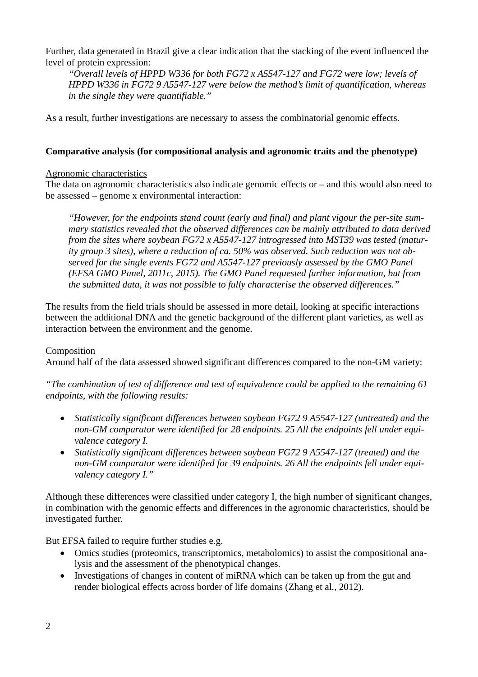Further, data generated in Brazil give a clear indication that the stacking of the event influenced the level of protein expression:

*"Overall levels of HPPD W336 for both FG72 x A5547-127 and FG72 were low; levels of HPPD W336 in FG72 9 A5547-127 were below the method's limit of quantification, whereas in the single they were quantifiable."* 

As a result, further investigations are necessary to assess the combinatorial genomic effects.

#### **Comparative analysis (for compositional analysis and agronomic traits and the phenotype)**

#### Agronomic characteristics

The data on agronomic characteristics also indicate genomic effects or – and this would also need to be assessed – genome x environmental interaction:

*"However, for the endpoints stand count (early and final) and plant vigour the per-site summary statistics revealed that the observed differences can be mainly attributed to data derived from the sites where soybean FG72 x A5547-127 introgressed into MST39 was tested (maturity group 3 sites), where a reduction of ca. 50% was observed. Such reduction was not observed for the single events FG72 and A5547-127 previously assessed by the GMO Panel (EFSA GMO Panel, 2011c, 2015). The GMO Panel requested further information, but from the submitted data, it was not possible to fully characterise the observed differences."* 

The results from the field trials should be assessed in more detail, looking at specific interactions between the additional DNA and the genetic background of the different plant varieties, as well as interaction between the environment and the genome.

## Composition

Around half of the data assessed showed significant differences compared to the non-GM variety:

*"The combination of test of difference and test of equivalence could be applied to the remaining 61 endpoints, with the following results:*

- *Statistically significant differences between soybean FG72 9 A5547-127 (untreated) and the non-GM comparator were identified for 28 endpoints. 25 All the endpoints fell under equivalence category I.*
- *Statistically significant differences between soybean FG72 9 A5547-127 (treated) and the non-GM comparator were identified for 39 endpoints. 26 All the endpoints fell under equivalency category I."*

Although these differences were classified under category I, the high number of significant changes, in combination with the genomic effects and differences in the agronomic characteristics, should be investigated further.

But EFSA failed to require further studies e.g.

- Omics studies (proteomics, transcriptomics, metabolomics) to assist the compositional analysis and the assessment of the phenotypical changes.
- Investigations of changes in content of miRNA which can be taken up from the gut and render biological effects across border of life domains (Zhang et al., 2012).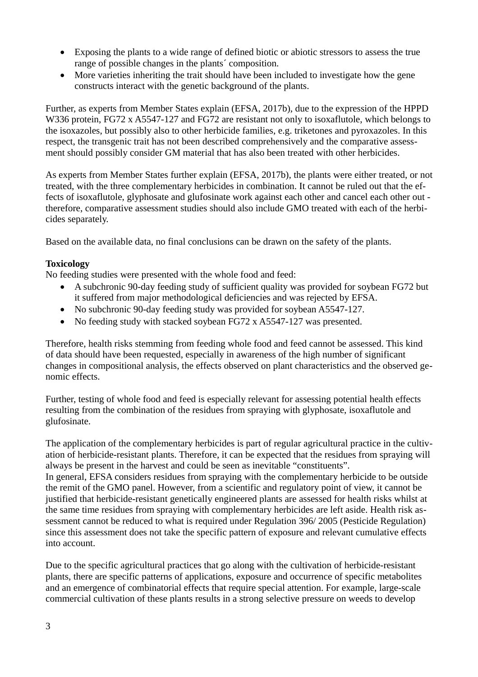- Exposing the plants to a wide range of defined biotic or abiotic stressors to assess the true range of possible changes in the plants´ composition.
- More varieties inheriting the trait should have been included to investigate how the gene constructs interact with the genetic background of the plants.

Further, as experts from Member States explain (EFSA, 2017b), due to the expression of the HPPD W336 protein, FG72 x A5547-127 and FG72 are resistant not only to isoxaflutole, which belongs to the isoxazoles, but possibly also to other herbicide families, e.g. triketones and pyroxazoles. In this respect, the transgenic trait has not been described comprehensively and the comparative assessment should possibly consider GM material that has also been treated with other herbicides.

As experts from Member States further explain (EFSA, 2017b), the plants were either treated, or not treated, with the three complementary herbicides in combination. It cannot be ruled out that the effects of isoxaflutole, glyphosate and glufosinate work against each other and cancel each other out therefore, comparative assessment studies should also include GMO treated with each of the herbicides separately.

Based on the available data, no final conclusions can be drawn on the safety of the plants.

## **Toxicology**

No feeding studies were presented with the whole food and feed:

- A subchronic 90-day feeding study of sufficient quality was provided for soybean FG72 but it suffered from major methodological deficiencies and was rejected by EFSA.
- No subchronic 90-day feeding study was provided for soybean A5547-127.
- No feeding study with stacked soybean FG72 x A5547-127 was presented.

Therefore, health risks stemming from feeding whole food and feed cannot be assessed. This kind of data should have been requested, especially in awareness of the high number of significant changes in compositional analysis, the effects observed on plant characteristics and the observed genomic effects.

Further, testing of whole food and feed is especially relevant for assessing potential health effects resulting from the combination of the residues from spraying with glyphosate, isoxaflutole and glufosinate.

The application of the complementary herbicides is part of regular agricultural practice in the cultivation of herbicide-resistant plants. Therefore, it can be expected that the residues from spraying will always be present in the harvest and could be seen as inevitable "constituents".

In general, EFSA considers residues from spraying with the complementary herbicide to be outside the remit of the GMO panel. However, from a scientific and regulatory point of view, it cannot be justified that herbicide-resistant genetically engineered plants are assessed for health risks whilst at the same time residues from spraying with complementary herbicides are left aside. Health risk assessment cannot be reduced to what is required under Regulation 396/ 2005 (Pesticide Regulation) since this assessment does not take the specific pattern of exposure and relevant cumulative effects into account.

Due to the specific agricultural practices that go along with the cultivation of herbicide-resistant plants, there are specific patterns of applications, exposure and occurrence of specific metabolites and an emergence of combinatorial effects that require special attention. For example, large-scale commercial cultivation of these plants results in a strong selective pressure on weeds to develop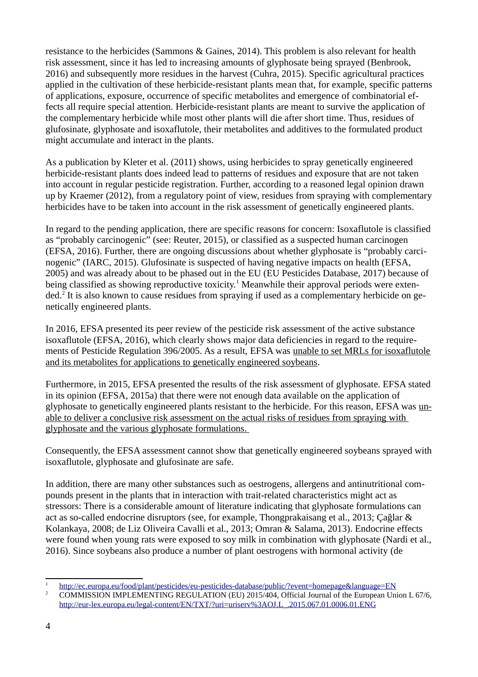resistance to the herbicides (Sammons & Gaines, 2014). This problem is also relevant for health risk assessment, since it has led to increasing amounts of glyphosate being sprayed (Benbrook, 2016) and subsequently more residues in the harvest (Cuhra, 2015). Specific agricultural practices applied in the cultivation of these herbicide-resistant plants mean that, for example, specific patterns of applications, exposure, occurrence of specific metabolites and emergence of combinatorial effects all require special attention. Herbicide-resistant plants are meant to survive the application of the complementary herbicide while most other plants will die after short time. Thus, residues of glufosinate, glyphosate and isoxaflutole, their metabolites and additives to the formulated product might accumulate and interact in the plants.

As a publication by Kleter et al. (2011) shows, using herbicides to spray genetically engineered herbicide-resistant plants does indeed lead to patterns of residues and exposure that are not taken into account in regular pesticide registration. Further, according to a reasoned legal opinion drawn up by Kraemer (2012), from a regulatory point of view, residues from spraying with complementary herbicides have to be taken into account in the risk assessment of genetically engineered plants.

In regard to the pending application, there are specific reasons for concern: Isoxaflutole is classified as "probably carcinogenic" (see: Reuter, 2015), or classified as a suspected human carcinogen (EFSA, 2016). Further, there are ongoing discussions about whether glyphosate is "probably carcinogenic" (IARC, 2015). Glufosinate is suspected of having negative impacts on health (EFSA, 2005) and was already about to be phased out in the EU (EU Pesticides Database, 2017) because of being classified as showing reproductive toxicity.<sup>[1](#page-3-0)</sup> Meanwhile their approval periods were exten-ded.<sup>[2](#page-3-1)</sup> It is also known to cause residues from spraying if used as a complementary herbicide on genetically engineered plants.

In 2016, EFSA presented its peer review of the pesticide risk assessment of the active substance isoxaflutole (EFSA, 2016), which clearly shows major data deficiencies in regard to the requirements of Pesticide Regulation 396/2005. As a result, EFSA was unable to set MRLs for isoxaflutole and its metabolites for applications to genetically engineered soybeans.

Furthermore, in 2015, EFSA presented the results of the risk assessment of glyphosate. EFSA stated in its opinion (EFSA, 2015a) that there were not enough data available on the application of glyphosate to genetically engineered plants resistant to the herbicide. For this reason, EFSA was unable to deliver a conclusive risk assessment on the actual risks of residues from spraying with glyphosate and the various glyphosate formulations.

Consequently, the EFSA assessment cannot show that genetically engineered soybeans sprayed with isoxaflutole, glyphosate and glufosinate are safe.

In addition, there are many other substances such as oestrogens, allergens and antinutritional compounds present in the plants that in interaction with trait-related characteristics might act as stressors: There is a considerable amount of literature indicating that glyphosate formulations can act as so-called endocrine disruptors (see, for example, Thongprakaisang et al., 2013; Çağlar & Kolankaya, 2008; de Liz Oliveira Cavalli et al., 2013; Omran & Salama, 2013). Endocrine effects were found when young rats were exposed to soy milk in combination with glyphosate (Nardi et al., 2016). Since soybeans also produce a number of plant oestrogens with hormonal activity (de

<span id="page-3-0"></span><sup>1</sup> <http://ec.europa.eu/food/plant/pesticides/eu-pesticides-database/public/?event=homepage&language=EN>

<span id="page-3-1"></span><sup>&</sup>lt;sup>2</sup> COMMISSION IMPLEMENTING REGULATION (EU) 2015/404, Official Journal of the European Union L 67/6, [http://eur-lex.europa.eu/legal-content/EN/TXT/?uri=uriserv%3AOJ.L\\_.2015.067.01.0006.01.ENG](http://eur-lex.europa.eu/legal-content/EN/TXT/?uri=uriserv%3AOJ.L_.2015.067.01.0006.01.ENG)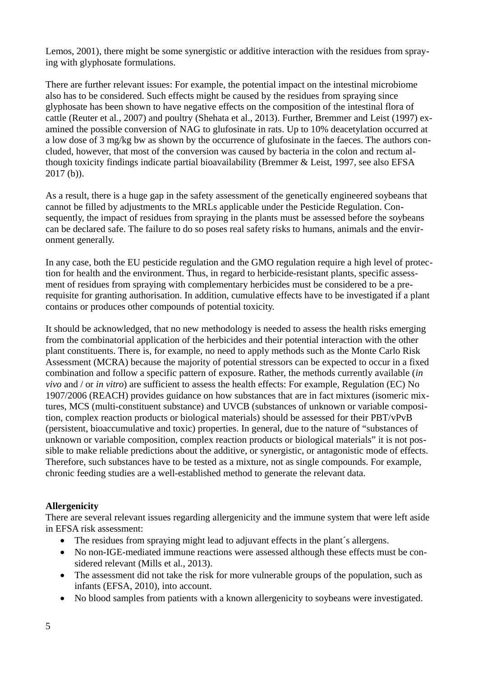Lemos, 2001), there might be some synergistic or additive interaction with the residues from spraying with glyphosate formulations.

There are further relevant issues: For example, the potential impact on the intestinal microbiome also has to be considered. Such effects might be caused by the residues from spraying since glyphosate has been shown to have negative effects on the composition of the intestinal flora of cattle (Reuter et al., 2007) and poultry (Shehata et al., 2013). Further, Bremmer and Leist (1997) examined the possible conversion of NAG to glufosinate in rats. Up to 10% deacetylation occurred at a low dose of 3 mg/kg bw as shown by the occurrence of glufosinate in the faeces. The authors concluded, however, that most of the conversion was caused by bacteria in the colon and rectum although toxicity findings indicate partial bioavailability (Bremmer & Leist, 1997, see also EFSA 2017 (b)).

As a result, there is a huge gap in the safety assessment of the genetically engineered soybeans that cannot be filled by adjustments to the MRLs applicable under the Pesticide Regulation. Consequently, the impact of residues from spraying in the plants must be assessed before the soybeans can be declared safe. The failure to do so poses real safety risks to humans, animals and the environment generally.

In any case, both the EU pesticide regulation and the GMO regulation require a high level of protection for health and the environment. Thus, in regard to herbicide-resistant plants, specific assessment of residues from spraying with complementary herbicides must be considered to be a prerequisite for granting authorisation. In addition, cumulative effects have to be investigated if a plant contains or produces other compounds of potential toxicity.

It should be acknowledged, that no new methodology is needed to assess the health risks emerging from the combinatorial application of the herbicides and their potential interaction with the other plant constituents. There is, for example, no need to apply methods such as the Monte Carlo Risk Assessment (MCRA) because the majority of potential stressors can be expected to occur in a fixed combination and follow a specific pattern of exposure. Rather, the methods currently available (*in vivo* and / or *in vitro*) are sufficient to assess the health effects: For example, Regulation (EC) No 1907/2006 (REACH) provides guidance on how substances that are in fact mixtures (isomeric mixtures, MCS (multi-constituent substance) and UVCB (substances of unknown or variable composition, complex reaction products or biological materials) should be assessed for their PBT/vPvB (persistent, bioaccumulative and toxic) properties. In general, due to the nature of "substances of unknown or variable composition, complex reaction products or biological materials" it is not possible to make reliable predictions about the additive, or synergistic, or antagonistic mode of effects. Therefore, such substances have to be tested as a mixture, not as single compounds. For example, chronic feeding studies are a well-established method to generate the relevant data.

## **Allergenicity**

There are several relevant issues regarding allergenicity and the immune system that were left aside in EFSA risk assessment:

- The residues from spraying might lead to adjuvant effects in the plant's allergens.
- No non-IGE-mediated immune reactions were assessed although these effects must be considered relevant (Mills et al., 2013).
- The assessment did not take the risk for more vulnerable groups of the population, such as infants (EFSA, 2010), into account.
- No blood samples from patients with a known allergenicity to soybeans were investigated.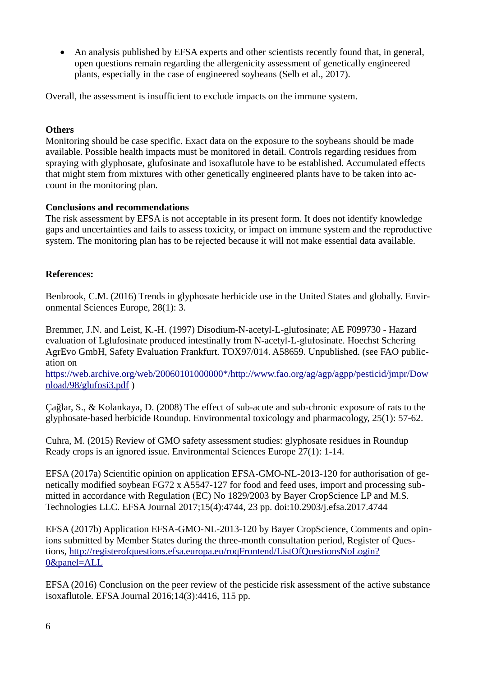An analysis published by EFSA experts and other scientists recently found that, in general, open questions remain regarding the allergenicity assessment of genetically engineered plants, especially in the case of engineered soybeans (Selb et al., 2017).

Overall, the assessment is insufficient to exclude impacts on the immune system.

#### **Others**

Monitoring should be case specific. Exact data on the exposure to the soybeans should be made available. Possible health impacts must be monitored in detail. Controls regarding residues from spraying with glyphosate, glufosinate and isoxaflutole have to be established. Accumulated effects that might stem from mixtures with other genetically engineered plants have to be taken into account in the monitoring plan.

## **Conclusions and recommendations**

The risk assessment by EFSA is not acceptable in its present form. It does not identify knowledge gaps and uncertainties and fails to assess toxicity, or impact on immune system and the reproductive system. The monitoring plan has to be rejected because it will not make essential data available.

## **References:**

Benbrook, C.M. (2016) Trends in glyphosate herbicide use in the United States and globally. Environmental Sciences Europe, 28(1): 3.

Bremmer, J.N. and Leist, K.-H. (1997) Disodium-N-acetyl-L-glufosinate; AE F099730 - Hazard evaluation of Lglufosinate produced intestinally from N-acetyl-L-glufosinate. Hoechst Schering AgrEvo GmbH, Safety Evaluation Frankfurt. TOX97/014. A58659. Unpublished. (see FAO publication on

[https://web.archive.org/web/20060101000000\\*/http://www.fao.org/ag/agp/agpp/pesticid/jmpr/Dow](https://web.archive.org/web/20060101000000*/http://www.fao.org/ag/agp/agpp/pesticid/jmpr/Download/98/glufosi3.pdf) [nload/98/glufosi3.pdf](https://web.archive.org/web/20060101000000*/http://www.fao.org/ag/agp/agpp/pesticid/jmpr/Download/98/glufosi3.pdf) )

Çağlar, S., & Kolankaya, D. (2008) The effect of sub-acute and sub-chronic exposure of rats to the glyphosate-based herbicide Roundup. Environmental toxicology and pharmacology, 25(1): 57-62.

Cuhra, M. (2015) Review of GMO safety assessment studies: glyphosate residues in Roundup Ready crops is an ignored issue. Environmental Sciences Europe 27(1): 1-14.

EFSA (2017a) Scientific opinion on application EFSA-GMO-NL-2013-120 for authorisation of genetically modified soybean FG72 x A5547-127 for food and feed uses, import and processing submitted in accordance with Regulation (EC) No 1829/2003 by Bayer CropScience LP and M.S. Technologies LLC. EFSA Journal 2017;15(4):4744, 23 pp. doi:10.2903/j.efsa.2017.4744

EFSA (2017b) Application EFSA-GMO-NL-2013-120 by Bayer CropScience, Comments and opinions submitted by Member States during the three-month consultation period, Register of Questions, [http://registerofquestions.efsa.europa.eu/roqFrontend/ListOfQuestionsNoLogin?](http://registerofquestions.efsa.europa.eu/roqFrontend/ListOfQuestionsNoLogin?0&panel=ALL) [0&panel=ALL](http://registerofquestions.efsa.europa.eu/roqFrontend/ListOfQuestionsNoLogin?0&panel=ALL)

EFSA (2016) Conclusion on the peer review of the pesticide risk assessment of the active substance isoxaflutole. EFSA Journal 2016;14(3):4416, 115 pp.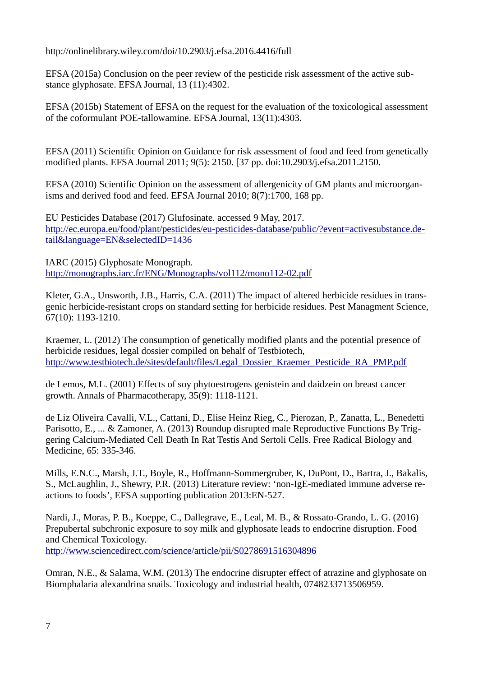http://onlinelibrary.wiley.com/doi/10.2903/j.efsa.2016.4416/full

EFSA (2015a) Conclusion on the peer review of the pesticide risk assessment of the active substance glyphosate. EFSA Journal, 13 (11):4302.

EFSA (2015b) Statement of EFSA on the request for the evaluation of the toxicological assessment of the coformulant POE-tallowamine. EFSA Journal, 13(11):4303.

EFSA (2011) Scientific Opinion on Guidance for risk assessment of food and feed from genetically modified plants. EFSA Journal 2011; 9(5): 2150. [37 pp. doi:10.2903/j.efsa.2011.2150.

EFSA (2010) Scientific Opinion on the assessment of allergenicity of GM plants and microorganisms and derived food and feed. EFSA Journal 2010; 8(7):1700, 168 pp.

EU Pesticides Database (2017) Glufosinate. accessed 9 May, 2017. [http://ec.europa.eu/food/plant/pesticides/eu-pesticides-database/public/?event=activesubstance.de](http://ec.europa.eu/food/plant/pesticides/eu-pesticides-database/public/?event=activesubstance.detail&language=EN&selectedID=1436)[tail&language=EN&selectedID=1436](http://ec.europa.eu/food/plant/pesticides/eu-pesticides-database/public/?event=activesubstance.detail&language=EN&selectedID=1436)

IARC (2015) Glyphosate Monograph. <http://monographs.iarc.fr/ENG/Monographs/vol112/mono112-02.pdf>

Kleter, G.A., Unsworth, J.B., Harris, C.A. (2011) The impact of altered herbicide residues in transgenic herbicide-resistant crops on standard setting for herbicide residues. Pest Managment Science, 67(10): 1193-1210.

Kraemer, L. (2012) The consumption of genetically modified plants and the potential presence of herbicide residues, legal dossier compiled on behalf of Testbiotech, [http://www.testbiotech.de/sites/default/files/Legal\\_Dossier\\_Kraemer\\_Pesticide\\_RA\\_PMP.pdf](http://www.testbiotech.de/sites/default/files/Legal_Dossier_Kraemer_Pesticide_RA_PMP.pdf)

de Lemos, M.L. (2001) Effects of soy phytoestrogens genistein and daidzein on breast cancer growth. Annals of Pharmacotherapy, 35(9): 1118-1121.

de Liz Oliveira Cavalli, V.L., Cattani, D., Elise Heinz Rieg, C., Pierozan, P., Zanatta, L., Benedetti Parisotto, E., ... & Zamoner, A. (2013) Roundup disrupted male Reproductive Functions By Triggering Calcium-Mediated Cell Death In Rat Testis And Sertoli Cells. Free Radical Biology and Medicine, 65: 335-346.

Mills, E.N.C., Marsh, J.T., Boyle, R., Hoffmann-Sommergruber, K, DuPont, D., Bartra, J., Bakalis, S., McLaughlin, J., Shewry, P.R. (2013) Literature review: 'non-IgE-mediated immune adverse reactions to foods', EFSA supporting publication 2013:EN-527.

Nardi, J., Moras, P. B., Koeppe, C., Dallegrave, E., Leal, M. B., & Rossato-Grando, L. G. (2016) Prepubertal subchronic exposure to soy milk and glyphosate leads to endocrine disruption. Food and Chemical Toxicology. <http://www.sciencedirect.com/science/article/pii/S0278691516304896>

Omran, N.E., & Salama, W.M. (2013) The endocrine disrupter effect of atrazine and glyphosate on Biomphalaria alexandrina snails. Toxicology and industrial health, 0748233713506959.